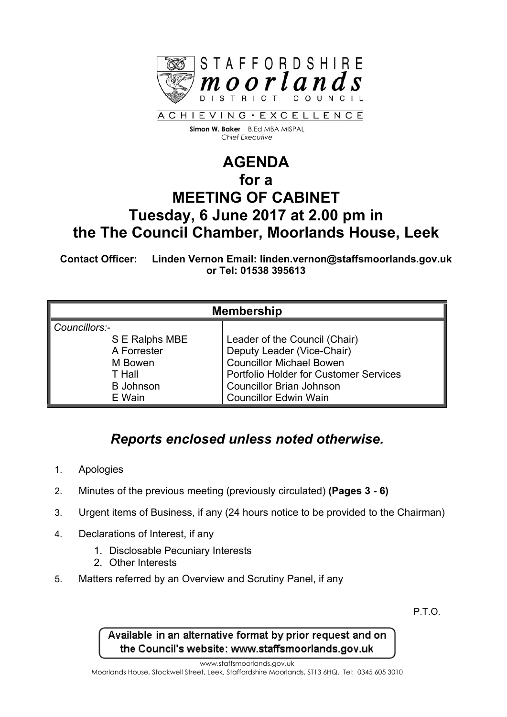

**Simon W. Baker** B.Ed MBA MISPAL *Chief Executive*

## **AGENDA for a MEETING OF CABINET Tuesday, 6 June 2017 at 2.00 pm in the The Council Chamber, Moorlands House, Leek**

**Contact Officer: Linden Vernon Email: linden.vernon@staffsmoorlands.gov.uk or Tel: 01538 395613**

| <b>Membership</b> |                                        |
|-------------------|----------------------------------------|
| Councillors:-     |                                        |
| S E Ralphs MBE    | Leader of the Council (Chair)          |
| A Forrester       | Deputy Leader (Vice-Chair)             |
| M Bowen           | <b>Councillor Michael Bowen</b>        |
| T Hall            | Portfolio Holder for Customer Services |
| <b>B</b> Johnson  | <b>Councillor Brian Johnson</b>        |
| E Wain            | <b>Councillor Edwin Wain</b>           |

## *Reports enclosed unless noted otherwise.*

- 1. Apologies
- 2. Minutes of the previous meeting (previously circulated) **(Pages 3 - 6)**
- 3. Urgent items of Business, if any (24 hours notice to be provided to the Chairman)
- 4. Declarations of Interest, if any
	- 1. Disclosable Pecuniary Interests
	- 2. Other Interests
- 5. Matters referred by an Overview and Scrutiny Panel, if any

P.T.O.

Available in an alternative format by prior request and on the Council's website: www.staffsmoorlands.gov.uk

www.staffsmoorlands.gov.uk

Moorlands House, Stockwell Street, Leek, Staffordshire Moorlands, ST13 6HQ. Tel: 0345 605 3010